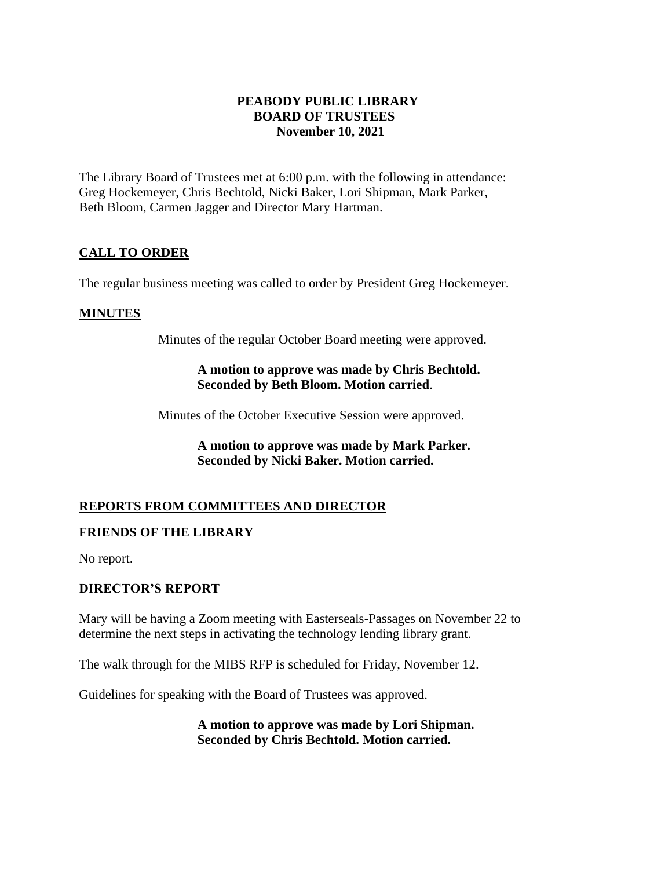#### **PEABODY PUBLIC LIBRARY BOARD OF TRUSTEES November 10, 2021**

The Library Board of Trustees met at 6:00 p.m. with the following in attendance: Greg Hockemeyer, Chris Bechtold, Nicki Baker, Lori Shipman, Mark Parker, Beth Bloom, Carmen Jagger and Director Mary Hartman.

# **CALL TO ORDER**

The regular business meeting was called to order by President Greg Hockemeyer.

# **MINUTES**

Minutes of the regular October Board meeting were approved.

#### **A motion to approve was made by Chris Bechtold. Seconded by Beth Bloom. Motion carried**.

Minutes of the October Executive Session were approved.

**A motion to approve was made by Mark Parker. Seconded by Nicki Baker. Motion carried.** 

# **REPORTS FROM COMMITTEES AND DIRECTOR**

# **FRIENDS OF THE LIBRARY**

No report.

# **DIRECTOR'S REPORT**

Mary will be having a Zoom meeting with Easterseals-Passages on November 22 to determine the next steps in activating the technology lending library grant.

The walk through for the MIBS RFP is scheduled for Friday, November 12.

Guidelines for speaking with the Board of Trustees was approved.

**A motion to approve was made by Lori Shipman. Seconded by Chris Bechtold. Motion carried.**